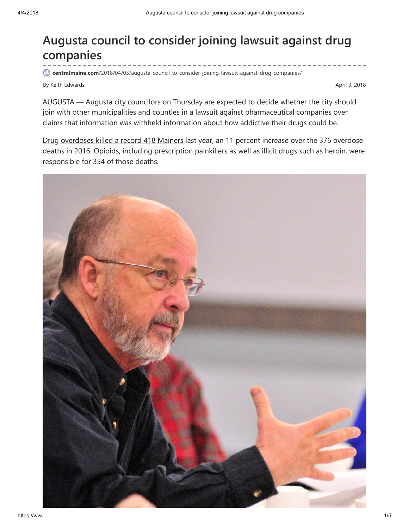# Augusta council to consider joining lawsuit against drug companies

centralmaine.com[/2018/04/03/augusta-council-to-consider-joining-lawsuit-against-drug-companies/](https://www.centralmaine.com/2018/04/03/augusta-council-to-consider-joining-lawsuit-against-drug-companies/)

By Keith Edwards April 3, 2018

AUGUSTA — Augusta city councilors on Thursday are expected to decide whether the city should join with other municipalities and counties in a lawsuit against pharmaceutical companies over claims that information was withheld information about how addictive their drugs could be.

Drug [overdoses](https://www.centralmaine.com/2018/02/22/drug-overdoses-killed-418-people-in-maine-last-year-up-11-percent/?rel=related) killed a record 418 Mainers last year, an 11 percent increase over the 376 overdose deaths in 2016. Opioids, including prescription painkillers as well as illicit drugs such as heroin, were responsible for 354 of those deaths.

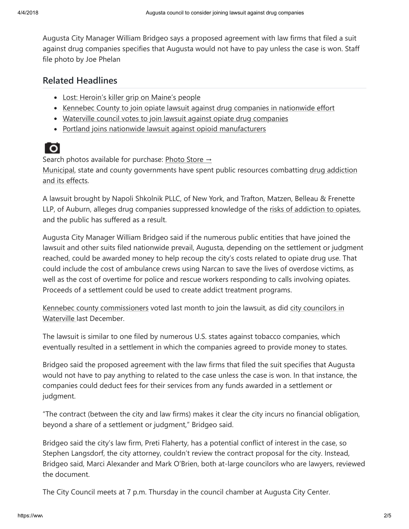Augusta City Manager William Bridgeo says a proposed agreement with law firms that filed a suit against drug companies specifies that Augusta would not have to pay unless the case is won. Staff file photo by Joe Phelan

#### Related Headlines

- Lost: Heroin's killer grip [on Maine's](https://www.centralmaine.com/2017/07/20/lost-heroins-killer-grip-maines-people/) people
- Kennebec County to join opiate lawsuit against drug companies in [nationwide](https://www.centralmaine.com/2018/03/20/kennebec-county-to-join-opiate-lawsuit-against-drug-companies-in-nationwide-effort/) effort
- Waterville council votes to join lawsuit against opiate drug [companies](https://www.centralmaine.com/2017/12/05/waterville-council-votes-to-join-lawsuit-against-opiate-drug-companies/)
- Portland joins nationwide lawsuit against opioid [manufacturers](https://www.centralmaine.com/2017/09/18/portland-council-votes-to-join-nationwide-lawsuit-against-opioid-manufacturers/)



Search photos available for purchase: [Photo Store](http://mainetoday.mycapture.com/mycapture/index.asp)  $\rightarrow$ 

[Municipal](https://www.centralmaine.com/2015/03/31/proposed-augusta-budget-would-add-two-police-detectives/), state and county [governments](https://www.centralmaine.com/2015/04/23/experts-cites-increase-in-heroin-use-in-augusta-area-statewide/?rel=related) have spent public resources combatting drug addiction and its effects.

A lawsuit brought by Napoli Shkolnik PLLC, of New York, and Trafton, Matzen, Belleau & Frenette LLP, of Auburn, alleges drug companies suppressed knowledge of the risks of [addiction to opiates](https://www.centralmaine.com/2017/02/02/augusta-health-expert-tells-united-way-crowd-anyone-can-be-addicted/), and the public has suffered as a result.

Augusta City Manager William Bridgeo said if the numerous public entities that have joined the lawsuit and other suits filed nationwide prevail, Augusta, depending on the settlement or judgment reached, could be awarded money to help recoup the city's costs related to opiate drug use. That could include the cost of ambulance crews using Narcan to save the lives of overdose victims, as well as the cost of overtime for police and rescue workers responding to calls involving opiates. Proceeds of a settlement could be used to create addict treatment programs.

Kennebec county [commissioner](https://www.centralmaine.com/2018/03/20/kennebec-county-to-join-opiate-lawsuit-against-drug-companies-in-nationwide-effort/)[s](https://www.centralmaine.com/2017/12/05/waterville-council-votes-to-join-lawsuit-against-opiate-drug-companies/?rel=related) voted last month to join the lawsuit, as did city councilors in Waterville last December.

The lawsuit is similar to one filed by numerous U.S. states against tobacco companies, which eventually resulted in a settlement in which the companies agreed to provide money to states.

Bridgeo said the proposed agreement with the law firms that filed the suit specifies that Augusta would not have to pay anything to related to the case unless the case is won. In that instance, the companies could deduct fees for their services from any funds awarded in a settlement or judgment.

"The contract (between the city and law firms) makes it clear the city incurs no financial obligation, beyond a share of a settlement or judgment," Bridgeo said.

Bridgeo said the city's law firm, Preti Flaherty, has a potential conflict of interest in the case, so Stephen Langsdorf, the city attorney, couldn't review the contract proposal for the city. Instead, Bridgeo said, Marci Alexander and Mark O'Brien, both at-large councilors who are lawyers, reviewed the document.

The City Council meets at 7 p.m. Thursday in the council chamber at Augusta City Center.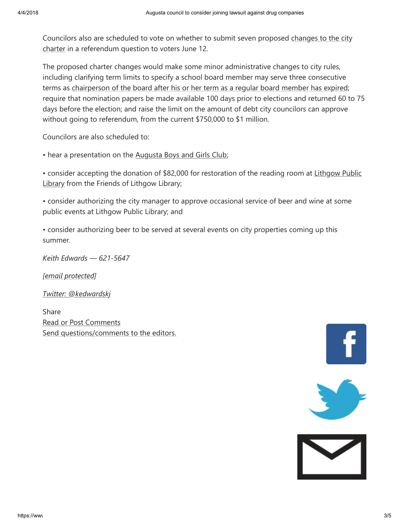Councilors also are scheduled to vote on whether to submit seven proposed changes to the city charter in a referendum [question to voters](https://www.centralmaine.com/2018/01/18/augusta-councilors-table-city-charter-review-proposal-might-seek-other-ways-to-change-charter/) June 12.

The proposed charter changes would make some minor administrative changes to city rules, including clarifying term limits to specify a school board member may serve three consecutive terms as [chairperson of](https://www.centralmaine.com/2017/08/16/contested-augusta-city-council-race-on-the-ballot-in-november/) the board after his or her term as a regular board member has expired; require that nomination papers be made available 100 days prior to elections and returned 60 to 75 days before the election; and raise the limit on the amount of debt city councilors can approve without going to referendum, from the current \$750,000 to \$1 million.

Councilors are also scheduled to:

• hear a presentation on the [Augusta](https://www.centralmaine.com/2016/07/01/new-food-pantry-to-help-hungry-augusta-children/) Boys and Girls Club;

• consider accepting the donation of \$82,000 for [restoration of](https://www.centralmaine.com/2017/08/25/more-kids-teens-and-books-circulating-at-augustas-lithgow-public-library/) the reading room at Lithgow Public Library from the Friends of Lithgow Library;

• consider authorizing the city manager to approve occasional service of beer and wine at some public events at Lithgow Public Library; and

• consider authorizing beer to be served at several events on city properties coming up this summer.

Keith Edwards — 621-5647

[email [protected\]](https://www.centralmaine.com/2018/04/03/augusta-council-to-consider-joining-lawsuit-against-drug-companies/kedwards@centralmaine.com)

Twitter: [@kedwardskj](https://www.centralmaine.com/2018/04/03/augusta-council-to-consider-joining-lawsuit-against-drug-companies/@kedwardskj)

Share Read or Post [Comments](https://www.printfriendly.com/p/g/yfa4ZD) Send [questions/comments](https://www.centralmaine.com/feedback-form/) to the editors.





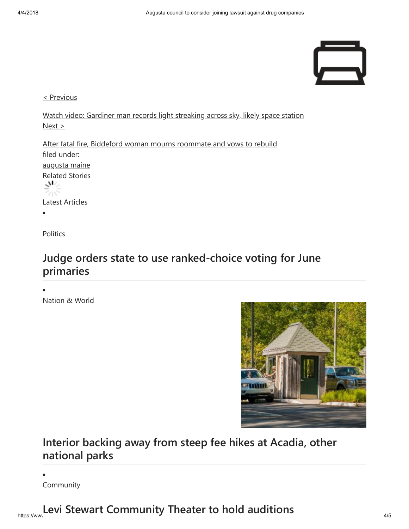

< [Previous](https://www.centralmaine.com/2018/04/03/after-fatal-biddeford-fire-displaced-resident-mourns-and-vows-to-rebuild/)

Watch video: Gardiner man records light [streaking](https://www.centralmaine.com/2018/04/03/watch-video-gardiner-man-records-light-streaking-across-sky-likely-space-station/) across sky, likely space station [Next](https://www.centralmaine.com/2018/04/03/after-fatal-biddeford-fire-displaced-resident-mourns-and-vows-to-rebuild/) >

After fatal fire, Biddeford woman mourns [roommate](https://www.centralmaine.com/2018/04/03/after-fatal-biddeford-fire-displaced-resident-mourns-and-vows-to-rebuild/) and vows to rebuild filed under: [augusta](https://www.centralmaine.com/tag/augusta-maine) maine Related Stories ے⊔ی Latest Articles

**Politics** 

#### [Judge orders state to use ranked-choice voting for June](https://www.centralmaine.com/2018/04/04/judge-orders-maine-to-use-ranked-choice-voting-for-june-primaries/) primaries

Nation & World



### [Interior backing away from steep fee hikes at Acadia, other](https://www.centralmaine.com/2018/04/04/interior-backing-away-from-steep-fee-hikes-at-acadia-other-national-parks/) national parks

Community